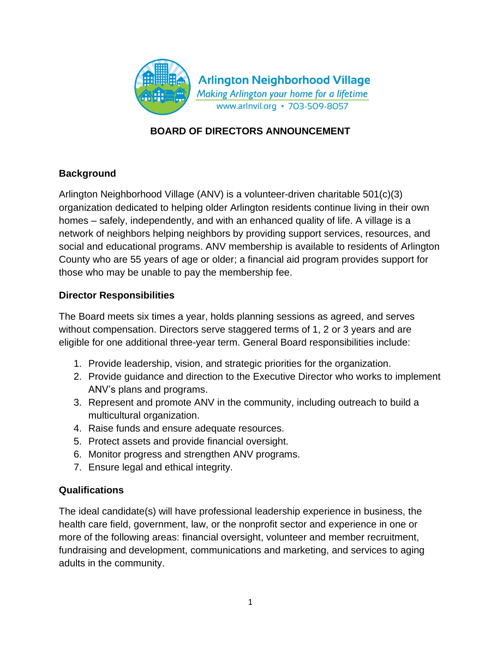

## **BOARD OF DIRECTORS ANNOUNCEMENT**

### **Background**

Arlington Neighborhood Village (ANV) is a volunteer-driven charitable 501(c)(3) organization dedicated to helping older Arlington residents continue living in their own homes – safely, independently, and with an enhanced quality of life. A village is a network of neighbors helping neighbors by providing support services, resources, and social and educational programs. ANV membership is available to residents of Arlington County who are 55 years of age or older; a financial aid program provides support for those who may be unable to pay the membership fee.

### **Director Responsibilities**

The Board meets six times a year, holds planning sessions as agreed, and serves without compensation. Directors serve staggered terms of 1, 2 or 3 years and are eligible for one additional three-year term. General Board responsibilities include:

- 1. Provide leadership, vision, and strategic priorities for the organization.
- 2. Provide guidance and direction to the Executive Director who works to implement ANV's plans and programs.
- 3. Represent and promote ANV in the community, including outreach to build a multicultural organization.
- 4. Raise funds and ensure adequate resources.
- 5. Protect assets and provide financial oversight.
- 6. Monitor progress and strengthen ANV programs.
- 7. Ensure legal and ethical integrity.

### **Qualifications**

The ideal candidate(s) will have professional leadership experience in business, the health care field, government, law, or the nonprofit sector and experience in one or more of the following areas: financial oversight, volunteer and member recruitment, fundraising and development, communications and marketing, and services to aging adults in the community.